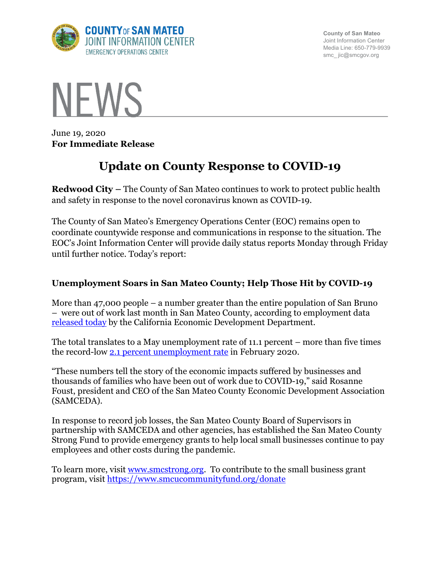

**County of San Mateo** Joint Information Center Media Line: 650-779-9939 smc\_ jic@smcgov.org



June 19, 2020 **For Immediate Release**

# **Update on County Response to COVID-19**

**Redwood City –** The County of San Mateo continues to work to protect public health and safety in response to the novel coronavirus known as COVID-19.

The County of San Mateo's Emergency Operations Center (EOC) remains open to coordinate countywide response and communications in response to the situation. The EOC's Joint Information Center will provide daily status reports Monday through Friday until further notice. Today's report:

## **Unemployment Soars in San Mateo County; Help Those Hit by COVID-19**

More than 47,000 people – a number greater than the entire population of San Bruno – were out of work last month in San Mateo County, according to employment data released today by the California Economic Development Department.

The total translates to a May unemployment rate of 11.1 percent – more than five times the record-low 2.1 percent unemployment rate in February 2020.

"These numbers tell the story of the economic impacts suffered by businesses and thousands of families who have been out of work due to COVID-19," said Rosanne Foust, president and CEO of the San Mateo County Economic Development Association (SAMCEDA).

In response to record job losses, the San Mateo County Board of Supervisors in partnership with SAMCEDA and other agencies, has established the San Mateo County Strong Fund to provide emergency grants to help local small businesses continue to pay employees and other costs during the pandemic.

To learn more, visit www.smcstrong.org. To contribute to the small business grant program, visit https://www.smcucommunityfund.org/donate